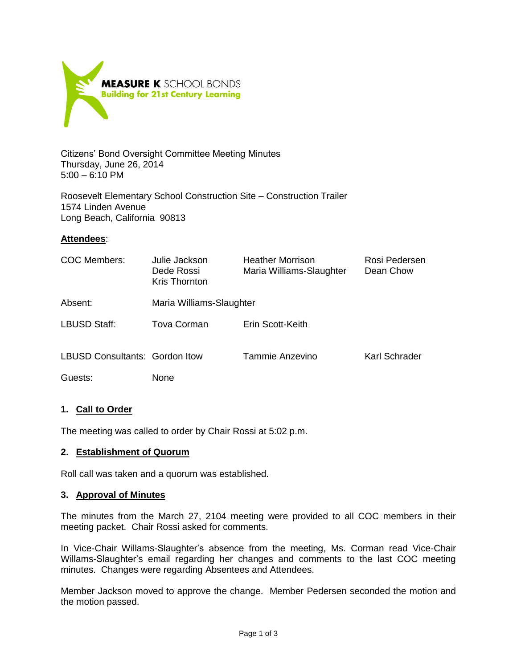

Citizens' Bond Oversight Committee Meeting Minutes Thursday, June 26, 2014 5:00 – 6:10 PM

Roosevelt Elementary School Construction Site – Construction Trailer 1574 Linden Avenue Long Beach, California 90813

## **Attendees**:

| COC Members:                          | Julie Jackson<br>Dede Rossi<br>Kris Thornton | <b>Heather Morrison</b><br>Maria Williams-Slaughter | Rosi Pedersen<br>Dean Chow |
|---------------------------------------|----------------------------------------------|-----------------------------------------------------|----------------------------|
| Absent:                               | Maria Williams-Slaughter                     |                                                     |                            |
| LBUSD Staff:                          | Tova Corman                                  | Erin Scott-Keith                                    |                            |
| <b>LBUSD Consultants: Gordon Itow</b> |                                              | Tammie Anzevino                                     | Karl Schrader              |
| Guests:                               | None                                         |                                                     |                            |

# **1. Call to Order**

The meeting was called to order by Chair Rossi at 5:02 p.m.

#### **2. Establishment of Quorum**

Roll call was taken and a quorum was established.

#### **3. Approval of Minutes**

The minutes from the March 27, 2104 meeting were provided to all COC members in their meeting packet. Chair Rossi asked for comments.

In Vice-Chair Willams-Slaughter's absence from the meeting, Ms. Corman read Vice-Chair Willams-Slaughter's email regarding her changes and comments to the last COC meeting minutes. Changes were regarding Absentees and Attendees.

Member Jackson moved to approve the change. Member Pedersen seconded the motion and the motion passed.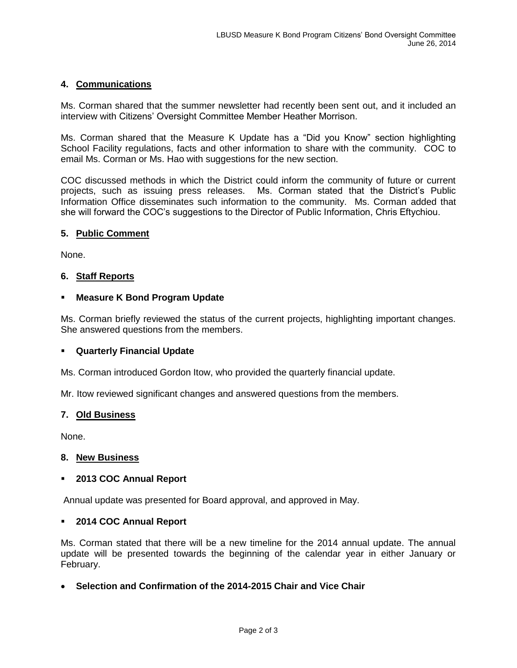# **4. Communications**

Ms. Corman shared that the summer newsletter had recently been sent out, and it included an interview with Citizens' Oversight Committee Member Heather Morrison.

Ms. Corman shared that the Measure K Update has a "Did you Know" section highlighting School Facility regulations, facts and other information to share with the community. COC to email Ms. Corman or Ms. Hao with suggestions for the new section.

COC discussed methods in which the District could inform the community of future or current projects, such as issuing press releases. Ms. Corman stated that the District's Public Information Office disseminates such information to the community. Ms. Corman added that she will forward the COC's suggestions to the Director of Public Information, Chris Eftychiou.

#### **5. Public Comment**

None.

## **6. Staff Reports**

## **Measure K Bond Program Update**

Ms. Corman briefly reviewed the status of the current projects, highlighting important changes. She answered questions from the members.

#### **Quarterly Financial Update**

Ms. Corman introduced Gordon Itow, who provided the quarterly financial update.

Mr. Itow reviewed significant changes and answered questions from the members.

#### **7. Old Business**

None.

#### **8. New Business**

#### **2013 COC Annual Report**

Annual update was presented for Board approval, and approved in May.

#### **2014 COC Annual Report**

Ms. Corman stated that there will be a new timeline for the 2014 annual update. The annual update will be presented towards the beginning of the calendar year in either January or February.

## **Selection and Confirmation of the 2014-2015 Chair and Vice Chair**